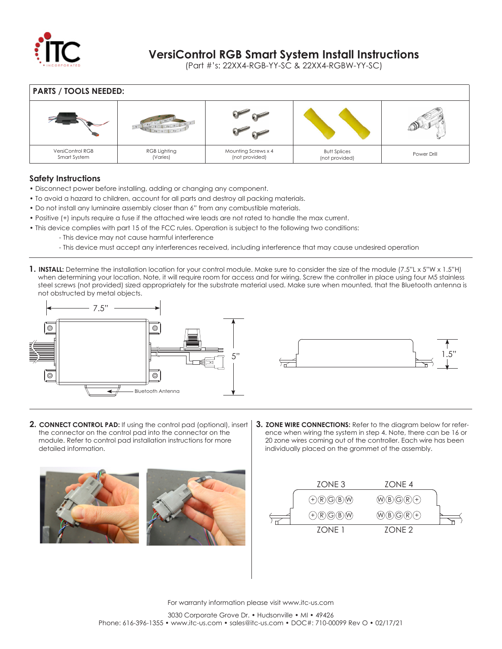

## **VersiControl RGB Smart System Install Instructions**

(Part #'s: 22XX4-RGB-YY-SC & 22XX4-RGBW-YY-SC)

**PARTS / TOOLS NEEDED:** VersiControl RGB Smart System RGB Lighting (Varies) Mounting Screws x 4 (not provided) Butt Splices (not provided) Power Drill

## **Safety Instructions**

- Disconnect power before installing, adding or changing any component.
- To avoid a hazard to children, account for all parts and destroy all packing materials.
- Do not install any luminaire assembly closer than 6" from any combustible materials.
- Positive (+) inputs require a fuse if the attached wire leads are not rated to handle the max current.
- This device complies with part 15 of the FCC rules. Operation is subject to the following two conditions:
	- This device may not cause harmful interference
		- This device must accept any interferences received, including interference that may cause undesired operation
- **1. INSTALL:** Determine the installation location for your control module. Make sure to consider the size of the module (7.5"L x 5"W x 1.5"H) when determining your location. Note, it will require room for access and for wiring. Screw the controller in place using four M5 stainless steel screws (not provided) sized appropriately for the substrate material used. Make sure when mounted, that the Bluetooth antenna is not obstructed by metal objects.





- **2. CONNECT CONTROL PAD:** If using the control pad (optional), insert the connector on the control pad into the connector on the module. Refer to control pad installation instructions for more detailed information.
- **3. ZONE WIRE CONNECTIONS:** Refer to the diagram below for refer ence when wiring the system in step 4. Note, there can be 16 or 20 zone wires coming out of the controller. Each wire has been individually placed on the grommet of the assembly.





For warranty information please visit www.itc-us.com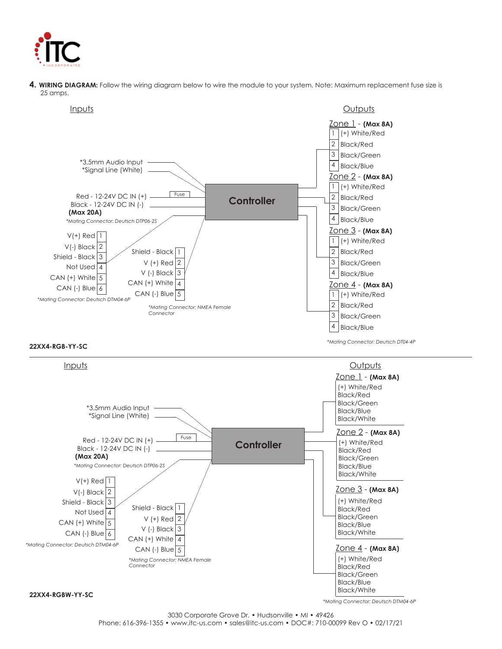

**4. WIRING DIAGRAM:** Follow the wiring diagram below to wire the module to your system. Note: Maximum replacement fuse size is 25 amps.



### **22XX4-RGB-YY-SC**



3030 Corporate Grove Dr. • Hudsonville • MI • 49426 Phone: 616-396-1355 • www.itc-us.com • sales@itc-us.com • DOC#: 710-00099 Rev O • 02/17/21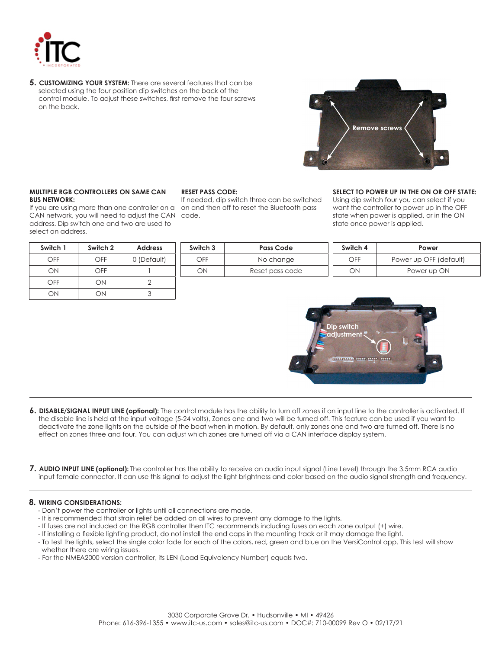

**5. CUSTOMIZING YOUR SYSTEM:** There are several features that can be selected using the four position dip switches on the back of the control module. To adjust these switches, first remove the four screws on the back.



#### **MULTIPLE RGB CONTROLLERS ON SAME CAN BUS NETWORK:**

If you are using more than one controller on a CAN network, you will need to adjust the CAN address. Dip switch one and two are used to select an address.

| Switch 1 | Switch 2 | <b>Address</b> |
|----------|----------|----------------|
| OFF      | OFF      | 0 (Default)    |
| ON       | OFF      |                |
| OFF      | ОN       |                |
| 'N       | M        |                |

### **RESET PASS CODE:**

If needed, dip switch three can be switched on and then off to reset the Bluetooth pass code.

### **SELECT TO POWER UP IN THE ON OR OFF STATE:**

Using dip switch four you can select if you want the controller to power up in the OFF state when power is applied, or in the ON state once power is applied.

| Switch 3 | <b>Pass Code</b> | Switch 4 | Power                  |
|----------|------------------|----------|------------------------|
| OFF      | No change        | OFF      | Power up OFF (default) |
| ОN       | Reset pass code  | DЛ       | Power up ON            |



- **6. DISABLE/SIGNAL INPUT LINE (optional):** The control module has the ability to turn off zones if an input line to the controller is activated. If the disable line is held at the input voltage (5-24 volts), Zones one and two will be turned off. This feature can be used if you want to deactivate the zone lights on the outside of the boat when in motion. By default, only zones one and two are turned off. There is no effect on zones three and four. You can adjust which zones are turned off via a CAN interface display system.
- **7. AUDIO INPUT LINE (optional):** The controller has the ability to receive an audio input signal (Line Level) through the 3.5mm RCA audio input female connector. It can use this signal to adjust the light brightness and color based on the audio signal strength and frequency.

### **8. WIRING CONSIDERATIONS:**

- Don't power the controller or lights until all connections are made.
- It is recommended that strain relief be added on all wires to prevent any damage to the lights.
- If fuses are not included on the RGB controller then ITC recommends including fuses on each zone output (+) wire.
- If installing a flexible lighting product, do not install the end caps in the mounting track or it may damage the light.
- To test the lights, select the single color fade for each of the colors, red, green and blue on the VersiControl app. This test will show whether there are wiring issues.
- For the NMEA2000 version controller, its LEN (Load Equivalency Number) equals two.